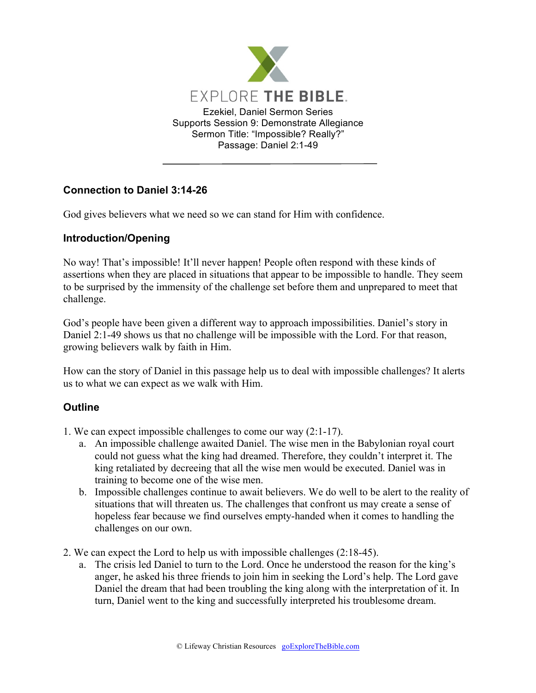

## **Connection to Daniel 3:14-26**

God gives believers what we need so we can stand for Him with confidence.

## **Introduction/Opening**

No way! That's impossible! It'll never happen! People often respond with these kinds of assertions when they are placed in situations that appear to be impossible to handle. They seem to be surprised by the immensity of the challenge set before them and unprepared to meet that challenge.

God's people have been given a different way to approach impossibilities. Daniel's story in Daniel 2:1-49 shows us that no challenge will be impossible with the Lord. For that reason, growing believers walk by faith in Him.

How can the story of Daniel in this passage help us to deal with impossible challenges? It alerts us to what we can expect as we walk with Him.

## **Outline**

- 1. We can expect impossible challenges to come our way (2:1-17).
	- a. An impossible challenge awaited Daniel. The wise men in the Babylonian royal court could not guess what the king had dreamed. Therefore, they couldn't interpret it. The king retaliated by decreeing that all the wise men would be executed. Daniel was in training to become one of the wise men.
	- b. Impossible challenges continue to await believers. We do well to be alert to the reality of situations that will threaten us. The challenges that confront us may create a sense of hopeless fear because we find ourselves empty-handed when it comes to handling the challenges on our own.
- 2. We can expect the Lord to help us with impossible challenges (2:18-45).
	- a. The crisis led Daniel to turn to the Lord. Once he understood the reason for the king's anger, he asked his three friends to join him in seeking the Lord's help. The Lord gave Daniel the dream that had been troubling the king along with the interpretation of it. In turn, Daniel went to the king and successfully interpreted his troublesome dream.